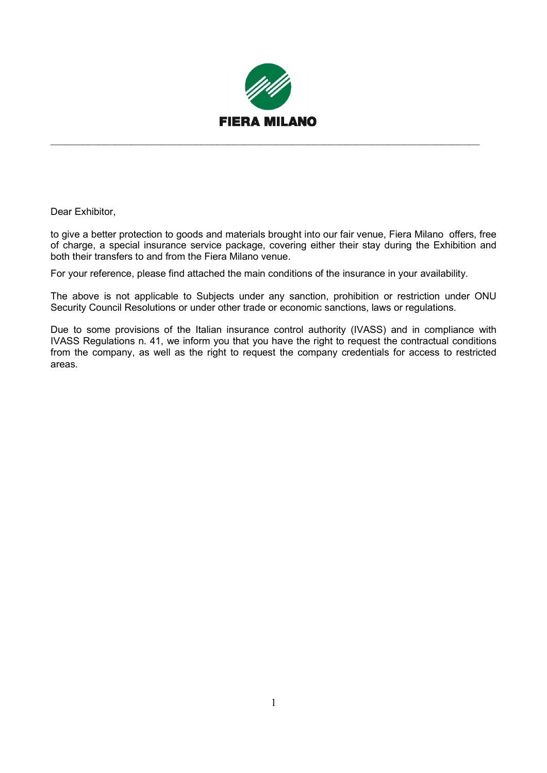

 $\_$  , and the contribution of the contribution of  $\mathcal{L}_\mathcal{A}$  , and the contribution of  $\mathcal{L}_\mathcal{A}$ 

Dear Exhibitor,

to give a better protection to goods and materials brought into our fair venue, Fiera Milano offers, free of charge, a special insurance service package, covering either their stay during the Exhibition and both their transfers to and from the Fiera Milano venue.

For your reference, please find attached the main conditions of the insurance in your availability.

The above is not applicable to Subjects under any sanction, prohibition or restriction under ONU Security Council Resolutions or under other trade or economic sanctions, laws or regulations.

Due to some provisions of the Italian insurance control authority (IVASS) and in compliance with IVASS Regulations n. 41, we inform you that you have the right to request the contractual conditions from the company, as well as the right to request the company credentials for access to restricted areas.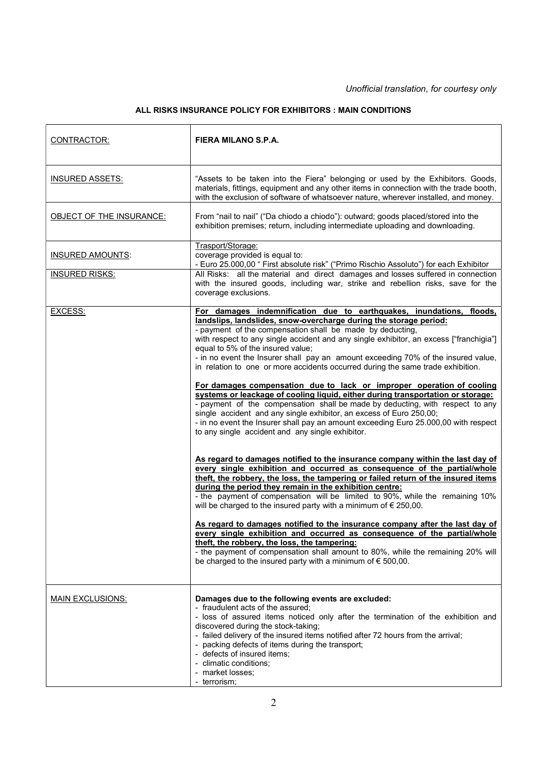## ALL RISKS INSURANCE POLICY FOR EXHIBITORS : MAIN CONDITIONS

| CONTRACTOR:                     | FIERA MILANO S.P.A.                                                                                                                                                                                                                                                                                                                                                                                                                                                                                                                                                                                                                                                                                                                                                                                                                                                                                                                                                                                                                                                                                                                                                                                                                                                                                                                                                                                                                                                                                                                                                                                                                                                                                                                                                                                                            |
|---------------------------------|--------------------------------------------------------------------------------------------------------------------------------------------------------------------------------------------------------------------------------------------------------------------------------------------------------------------------------------------------------------------------------------------------------------------------------------------------------------------------------------------------------------------------------------------------------------------------------------------------------------------------------------------------------------------------------------------------------------------------------------------------------------------------------------------------------------------------------------------------------------------------------------------------------------------------------------------------------------------------------------------------------------------------------------------------------------------------------------------------------------------------------------------------------------------------------------------------------------------------------------------------------------------------------------------------------------------------------------------------------------------------------------------------------------------------------------------------------------------------------------------------------------------------------------------------------------------------------------------------------------------------------------------------------------------------------------------------------------------------------------------------------------------------------------------------------------------------------|
| <u>INSURED ASSETS:</u>          | "Assets to be taken into the Fiera" belonging or used by the Exhibitors. Goods,<br>materials, fittings, equipment and any other items in connection with the trade booth,<br>with the exclusion of software of whatsoever nature, wherever installed, and money.                                                                                                                                                                                                                                                                                                                                                                                                                                                                                                                                                                                                                                                                                                                                                                                                                                                                                                                                                                                                                                                                                                                                                                                                                                                                                                                                                                                                                                                                                                                                                               |
| <b>OBJECT OF THE INSURANCE:</b> | From "nail to nail" ("Da chiodo a chiodo"): outward; goods placed/stored into the<br>exhibition premises; return, including intermediate uploading and downloading.                                                                                                                                                                                                                                                                                                                                                                                                                                                                                                                                                                                                                                                                                                                                                                                                                                                                                                                                                                                                                                                                                                                                                                                                                                                                                                                                                                                                                                                                                                                                                                                                                                                            |
| <b>INSURED AMOUNTS:</b>         | Trasport/Storage:<br>coverage provided is equal to:<br>- Euro 25.000,00 " First absolute risk" ("Primo Rischio Assoluto") for each Exhibitor                                                                                                                                                                                                                                                                                                                                                                                                                                                                                                                                                                                                                                                                                                                                                                                                                                                                                                                                                                                                                                                                                                                                                                                                                                                                                                                                                                                                                                                                                                                                                                                                                                                                                   |
| <b>INSURED RISKS:</b>           | All Risks: all the material and direct damages and losses suffered in connection<br>with the insured goods, including war, strike and rebellion risks, save for the<br>coverage exclusions.                                                                                                                                                                                                                                                                                                                                                                                                                                                                                                                                                                                                                                                                                                                                                                                                                                                                                                                                                                                                                                                                                                                                                                                                                                                                                                                                                                                                                                                                                                                                                                                                                                    |
| EXCESS:                         | For damages indemnification due to earthquakes, inundations, floods,<br>landslips, landslides, snow-overcharge during the storage period:<br>- payment of the compensation shall be made by deducting,<br>with respect to any single accident and any single exhibitor, an excess ["franchigia"]<br>equal to 5% of the insured value;<br>- in no event the Insurer shall pay an amount exceeding 70% of the insured value,<br>in relation to one or more accidents occurred during the same trade exhibition.<br>For damages compensation due to lack or improper operation of cooling<br>systems or leackage of cooling liquid, either during transportation or storage:<br>- payment of the compensation shall be made by deducting, with respect to any<br>single accident and any single exhibitor, an excess of Euro 250,00;<br>- in no event the Insurer shall pay an amount exceeding Euro 25.000,00 with respect<br>to any single accident and any single exhibitor.<br>As regard to damages notified to the insurance company within the last day of<br>every single exhibition and occurred as consequence of the partial/whole<br>theft, the robbery, the loss, the tampering or failed return of the insured items<br>during the period they remain in the exhibition centre:<br>- the payment of compensation will be limited to 90%, while the remaining 10%<br>will be charged to the insured party with a minimum of $\epsilon$ 250,00.<br>As regard to damages notified to the insurance company after the last day of<br>every single exhibition and occurred as consequence of the partial/whole<br>theft, the robbery, the loss, the tampering:<br>- the payment of compensation shall amount to 80%, while the remaining 20% will<br>be charged to the insured party with a minimum of $\epsilon$ 500,00. |
| <b>MAIN EXCLUSIONS:</b>         | Damages due to the following events are excluded:<br>- fraudulent acts of the assured;<br>- loss of assured items noticed only after the termination of the exhibition and<br>discovered during the stock-taking;<br>- failed delivery of the insured items notified after 72 hours from the arrival;<br>- packing defects of items during the transport;<br>- defects of insured items;<br>- climatic conditions;<br>- market losses;<br>- terrorism;                                                                                                                                                                                                                                                                                                                                                                                                                                                                                                                                                                                                                                                                                                                                                                                                                                                                                                                                                                                                                                                                                                                                                                                                                                                                                                                                                                         |